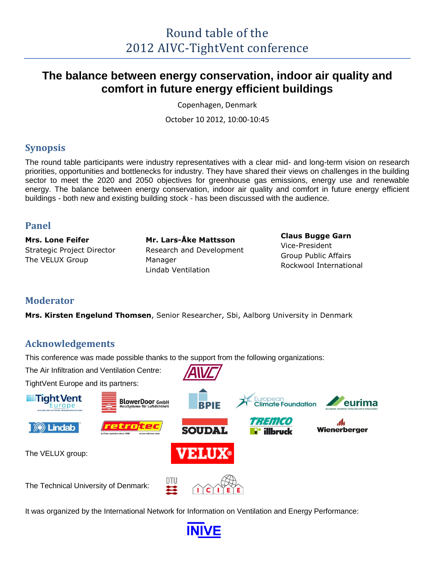# **The balance between energy conservation, indoor air quality and comfort in future energy efficient buildings**

Copenhagen, Denmark

October 10 2012, 10:00-10:45

## **Synopsis**

The round table participants were industry representatives with a clear mid- and long-term vision on research priorities, opportunities and bottlenecks for industry. They have shared their views on challenges in the building sector to meet the 2020 and 2050 objectives for greenhouse gas emissions, energy use and renewable energy. The balance between energy conservation, indoor air quality and comfort in future energy efficient buildings - both new and existing building stock - has been discussed with the audience.

## **Panel**

**Mrs. Lone Feifer** Strategic Project Director The VELUX Group

**Mr. Lars-Åke Mattsson** Research and Development Manager Lindab Ventilation

#### **Claus Bugge Garn** Vice-President Group Public Affairs Rockwool International

## **Moderator**

**Mrs. Kirsten Engelund Thomsen**, Senior Researcher, Sbi, Aalborg University in Denmark

## **Acknowledgements**

This conference was made possible thanks to the support from the following organizations:

The Air Infiltration and Ventilation Centre:

TightVent Europe and its partners:



It was organized by the International Network for Information on Ventilation and Energy Performance:

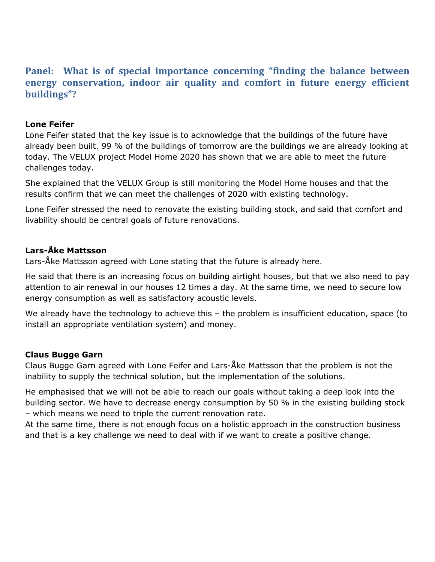## **Panel: What is of special importance concerning "finding the balance between energy conservation, indoor air quality and comfort in future energy efficient buildings"?**

#### **Lone Feifer**

Lone Feifer stated that the key issue is to acknowledge that the buildings of the future have already been built. 99 % of the buildings of tomorrow are the buildings we are already looking at today. The VELUX project Model Home 2020 has shown that we are able to meet the future challenges today.

She explained that the VELUX Group is still monitoring the Model Home houses and that the results confirm that we can meet the challenges of 2020 with existing technology.

Lone Feifer stressed the need to renovate the existing building stock, and said that comfort and livability should be central goals of future renovations.

#### **Lars-Åke Mattsson**

Lars-Åke Mattsson agreed with Lone stating that the future is already here.

He said that there is an increasing focus on building airtight houses, but that we also need to pay attention to air renewal in our houses 12 times a day. At the same time, we need to secure low energy consumption as well as satisfactory acoustic levels.

We already have the technology to achieve this – the problem is insufficient education, space (to install an appropriate ventilation system) and money.

### **Claus Bugge Garn**

Claus Bugge Garn agreed with Lone Feifer and Lars-Åke Mattsson that the problem is not the inability to supply the technical solution, but the implementation of the solutions.

He emphasised that we will not be able to reach our goals without taking a deep look into the building sector. We have to decrease energy consumption by 50 % in the existing building stock – which means we need to triple the current renovation rate.

At the same time, there is not enough focus on a holistic approach in the construction business and that is a key challenge we need to deal with if we want to create a positive change.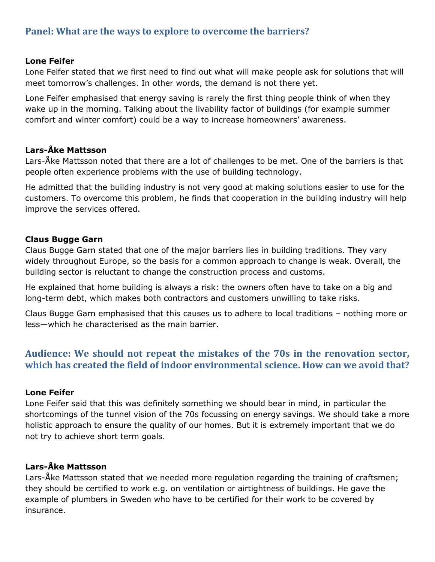## **Panel: What are the ways to explore to overcome the barriers?**

#### **Lone Feifer**

Lone Feifer stated that we first need to find out what will make people ask for solutions that will meet tomorrow's challenges. In other words, the demand is not there yet.

Lone Feifer emphasised that energy saving is rarely the first thing people think of when they wake up in the morning. Talking about the livability factor of buildings (for example summer comfort and winter comfort) could be a way to increase homeowners' awareness.

#### **Lars-Åke Mattsson**

Lars-Åke Mattsson noted that there are a lot of challenges to be met. One of the barriers is that people often experience problems with the use of building technology.

He admitted that the building industry is not very good at making solutions easier to use for the customers. To overcome this problem, he finds that cooperation in the building industry will help improve the services offered.

#### **Claus Bugge Garn**

Claus Bugge Garn stated that one of the major barriers lies in building traditions. They vary widely throughout Europe, so the basis for a common approach to change is weak. Overall, the building sector is reluctant to change the construction process and customs.

He explained that home building is always a risk: the owners often have to take on a big and long-term debt, which makes both contractors and customers unwilling to take risks.

Claus Bugge Garn emphasised that this causes us to adhere to local traditions – nothing more or less—which he characterised as the main barrier.

## **Audience: We should not repeat the mistakes of the 70s in the renovation sector, which has created the field of indoor environmental science. How can we avoid that?**

#### **Lone Feifer**

Lone Feifer said that this was definitely something we should bear in mind, in particular the shortcomings of the tunnel vision of the 70s focussing on energy savings. We should take a more holistic approach to ensure the quality of our homes. But it is extremely important that we do not try to achieve short term goals.

### **Lars-Åke Mattsson**

Lars-Åke Mattsson stated that we needed more regulation regarding the training of craftsmen; they should be certified to work e.g. on ventilation or airtightness of buildings. He gave the example of plumbers in Sweden who have to be certified for their work to be covered by insurance.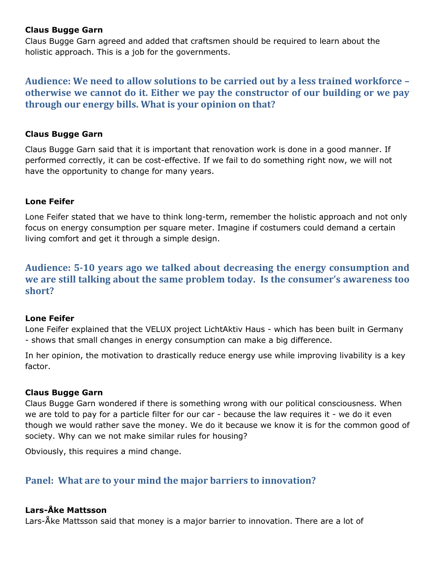#### **Claus Bugge Garn**

Claus Bugge Garn agreed and added that craftsmen should be required to learn about the holistic approach. This is a job for the governments.

**Audience: We need to allow solutions to be carried out by a less trained workforce – otherwise we cannot do it. Either we pay the constructor of our building or we pay through our energy bills. What is your opinion on that?**

#### **Claus Bugge Garn**

Claus Bugge Garn said that it is important that renovation work is done in a good manner. If performed correctly, it can be cost-effective. If we fail to do something right now, we will not have the opportunity to change for many years.

#### **Lone Feifer**

Lone Feifer stated that we have to think long-term, remember the holistic approach and not only focus on energy consumption per square meter. Imagine if costumers could demand a certain living comfort and get it through a simple design.

**Audience: 5-10 years ago we talked about decreasing the energy consumption and we are still talking about the same problem today. Is the consumer's awareness too short?**

#### **Lone Feifer**

Lone Feifer explained that the VELUX project LichtAktiv Haus - which has been built in Germany - shows that small changes in energy consumption can make a big difference.

In her opinion, the motivation to drastically reduce energy use while improving livability is a key factor.

#### **Claus Bugge Garn**

Claus Bugge Garn wondered if there is something wrong with our political consciousness. When we are told to pay for a particle filter for our car - because the law requires it - we do it even though we would rather save the money. We do it because we know it is for the common good of society. Why can we not make similar rules for housing?

Obviously, this requires a mind change.

## **Panel: What are to your mind the major barriers to innovation?**

#### **Lars-Åke Mattsson**

Lars-Åke Mattsson said that money is a major barrier to innovation. There are a lot of